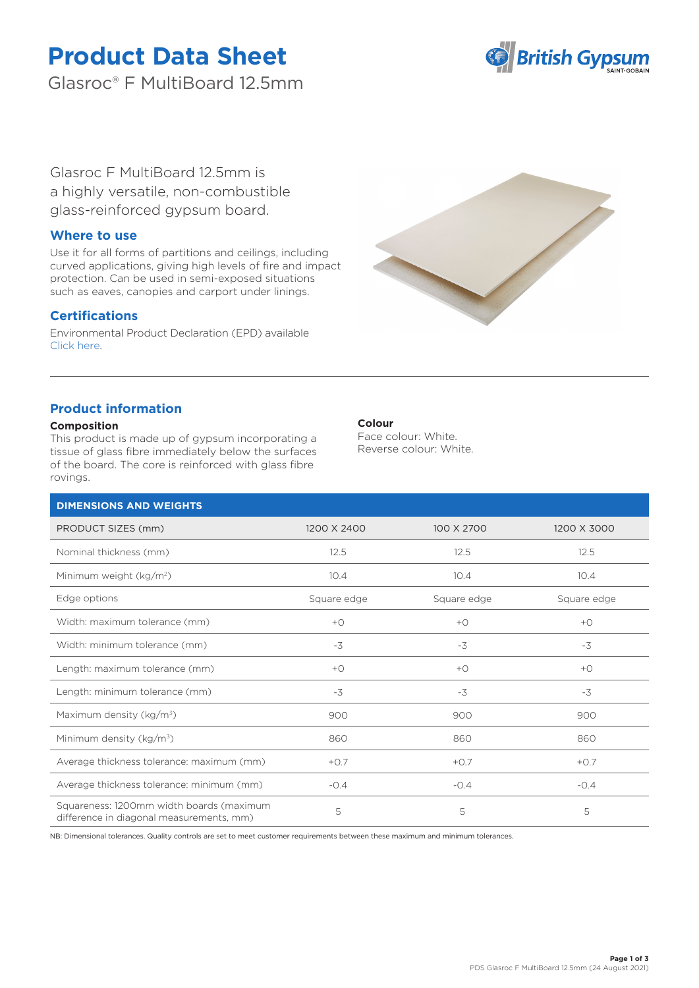# **Product Data Sheet**

Glasroc® F MultiBoard 12.5mm



Glasroc F MultiBoard 12.5mm is a highly versatile, non-combustible glass-reinforced gypsum board.

## **Where to use**

Use it for all forms of partitions and ceilings, including curved applications, giving high levels of fire and impact protection. Can be used in semi-exposed situations such as eaves, canopies and carport under linings.

## **Certifications**

Environmental Product Declaration (EPD) available [Click here.](https://www.british-gypsum.com/EPD)



# **Product information**

## **Composition**

This product is made up of gypsum incorporating a tissue of glass fibre immediately below the surfaces of the board. The core is reinforced with glass fibre rovings.

## **Colour**

Face colour: White. Reverse colour: White.

| <b>DIMENSIONS AND WEIGHTS</b>                                                        |                |             |             |
|--------------------------------------------------------------------------------------|----------------|-------------|-------------|
| PRODUCT SIZES (mm)                                                                   | 1200 X 2400    | 100 X 2700  | 1200 X 3000 |
| Nominal thickness (mm)                                                               | 12.5           | 12.5        | 12.5        |
| Minimum weight (kg/m <sup>2</sup> )                                                  | 10.4           | 10.4        | 10.4        |
| Edge options                                                                         | Square edge    | Square edge | Square edge |
| Width: maximum tolerance (mm)                                                        | $+$ $\bigcirc$ | $+O$        | $+O$        |
| Width: minimum tolerance (mm)                                                        | $-3$           | $-3$        | $-3$        |
| Length: maximum tolerance (mm)                                                       | $+O$           | $+O$        | $+O$        |
| Length: minimum tolerance (mm)                                                       | $-3$           | $-3$        | $-3$        |
| Maximum density ( $kg/m3$ )                                                          | 900            | 900         | 900         |
| Minimum density ( $kg/m3$ )                                                          | 860            | 860         | 860         |
| Average thickness tolerance: maximum (mm)                                            | $+0.7$         | $+0.7$      | $+0.7$      |
| Average thickness tolerance: minimum (mm)                                            | $-0.4$         | $-0.4$      | $-0.4$      |
| Squareness: 1200mm width boards (maximum<br>difference in diagonal measurements, mm) | 5              | 5           | 5           |

NB: Dimensional tolerances. Quality controls are set to meet customer requirements between these maximum and minimum tolerances.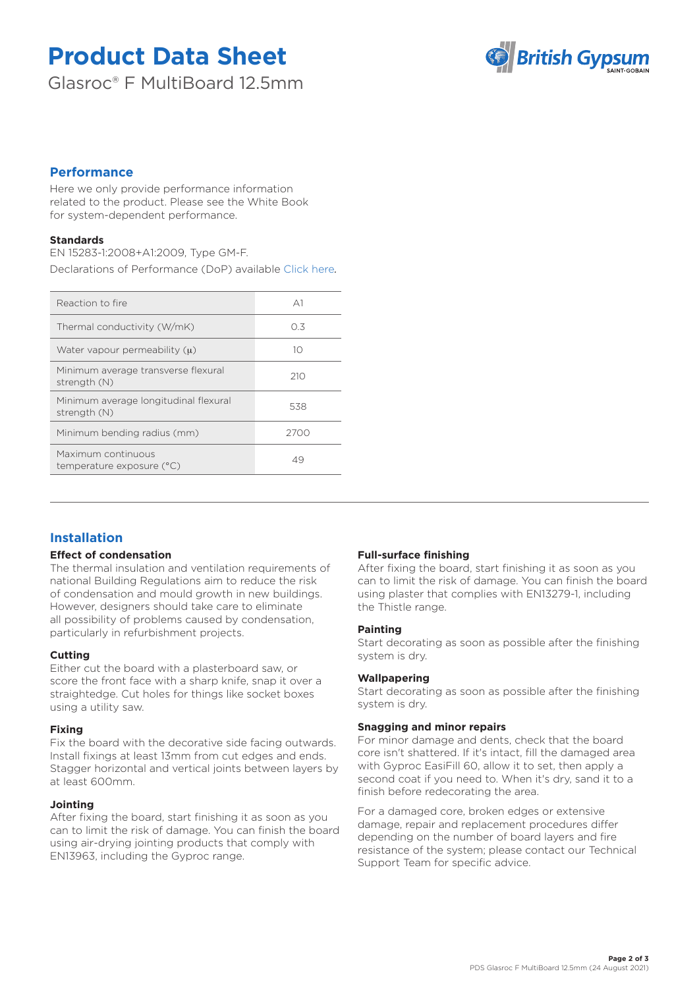# **Product Data Sheet**

Glasroc® F MultiBoard 12.5mm



## **Performance**

Here we only provide performance information related to the product. Please see the White Book for system-dependent performance.

### **Standards**

EN 15283-1:2008+A1:2009, Type GM-F.

Declarations of Performance (DoP) available [Click here](https://www.british-gypsum.com/DoP)*.*

| Reaction to fire                                      | $\Delta$ 1 |
|-------------------------------------------------------|------------|
| Thermal conductivity (W/mK)                           | 03         |
| Water vapour permeability $(u)$                       | 10         |
| Minimum average transverse flexural<br>strength (N)   | 210        |
| Minimum average longitudinal flexural<br>strength (N) | 538        |
| Minimum bending radius (mm)                           | 2700       |
| Maximum continuous<br>temperature exposure (°C)       | 49         |
|                                                       |            |

# **Installation**

#### **Effect of condensation**

The thermal insulation and ventilation requirements of national Building Regulations aim to reduce the risk of condensation and mould growth in new buildings. However, designers should take care to eliminate all possibility of problems caused by condensation, particularly in refurbishment projects.

#### **Cutting**

Either cut the board with a plasterboard saw, or score the front face with a sharp knife, snap it over a straightedge. Cut holes for things like socket boxes using a utility saw.

#### **Fixing**

Fix the board with the decorative side facing outwards. Install fixings at least 13mm from cut edges and ends. Stagger horizontal and vertical joints between layers by at least 600mm.

#### **Jointing**

After fixing the board, start finishing it as soon as you can to limit the risk of damage. You can finish the board using air-drying jointing products that comply with EN13963, including the Gyproc range.

#### **Full-surface finishing**

After fixing the board, start finishing it as soon as you can to limit the risk of damage. You can finish the board using plaster that complies with EN13279-1, including the Thistle range.

#### **Painting**

Start decorating as soon as possible after the finishing system is dry.

#### **Wallpapering**

Start decorating as soon as possible after the finishing system is dry.

#### **Snagging and minor repairs**

For minor damage and dents, check that the board core isn't shattered. If it's intact, fill the damaged area with Gyproc EasiFill 60, allow it to set, then apply a second coat if you need to. When it's dry, sand it to a finish before redecorating the area.

For a damaged core, broken edges or extensive damage, repair and replacement procedures differ depending on the number of board layers and fire resistance of the system; please contact our Technical Support Team for specific advice.